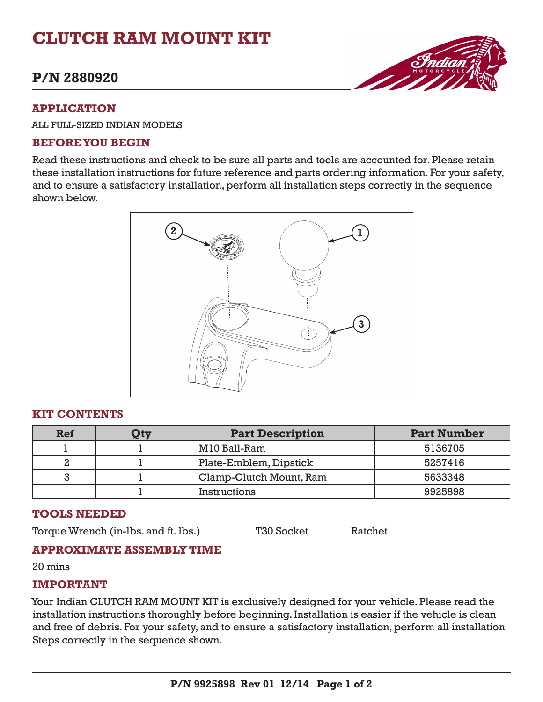# **CLUTCH RAM MOUNT KIT**

# **P/N 2880920**

#### **APPLICATION**

ALL FULL-SIZED INDIAN MODELS

#### **BEFORE YOU BEGIN**

Read these instructions and check to be sure all parts and tools are accounted for. Please retain these installation instructions for future reference and parts ordering information. For your safety, and to ensure a satisfactory installation, perform all installation steps correctly in the sequence shown below.



#### **KIT CONTENTS**

| Ref | Qty | <b>Part Description</b> | <b>Part Number</b> |
|-----|-----|-------------------------|--------------------|
|     |     | M10 Ball-Ram            | 5136705            |
|     |     | Plate-Emblem, Dipstick  | 5257416            |
|     |     | Clamp-Clutch Mount, Ram | 5633348            |
|     |     | Instructions            | 9925898            |

### **TOOLS NEEDED**

Torque Wrench (in-lbs. and ft. lbs.) T30 Socket Ratchet

### **APPROXIMATE ASSEMBLY TIME**

20 mins

### **IMPORTANT**

Your Indian CLUTCH RAM MOUNT KIT is exclusively designed for your vehicle. Please read the installation instructions thoroughly before beginning. Installation is easier if the vehicle is clean and free of debris. For your safety, and to ensure a satisfactory installation, perform all installation Steps correctly in the sequence shown.